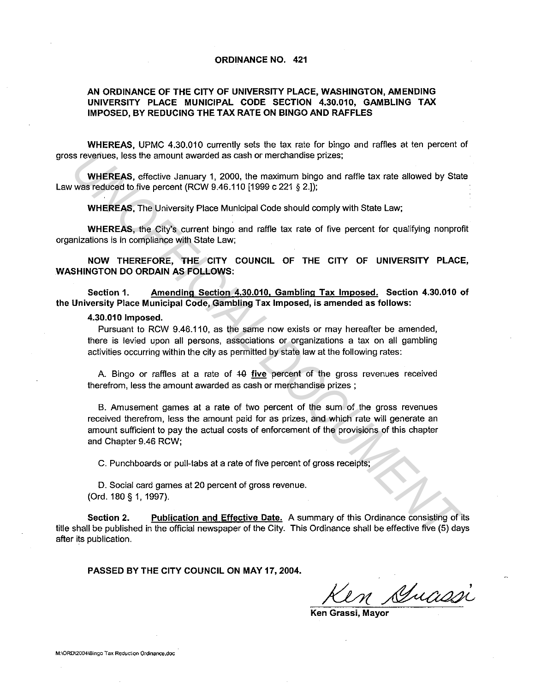## ORDINANCE NO. 421

## AN ORDINANCE OF THE CITY OF UNIVERSITY PLACE, WASHINGTON, AMENDING UNIVERSITY PLACE MUNICIPAL CODE SECTION 4.30.010, GAMBLING TAX IMPOSED, BY REDUCING THE TAX RATE ON BINGO AND RAFFLES

WHEREAS, UPMC 4.30.010 currently sets the tax rate for bingo and raffles at ten percent of gross revenues, less the amount awarded as cash or merchandise prizes;

WHEREAS, effective January 1, 2000, the maximum bingo and raffle tax rate allowed by State Law was reduced to five percent (RCW 9.46.110 [1999 c 221 § 2.]);

WHEREAS, The University Place Municipal Code should comply with State Law;

WHEREAS, the City's current bingo and raffle tax rate of five percent for qualifying nonprofit organizations is in compliance with State Law;

NOW THEREFORE, THE CITY COUNCIL OF THE CITY OF UNIVERSITY PLACE, WASHINGTON DO ORDAIN AS FOLLOWS:

Section 1. Amending Section 4.30.010. Gambling Tax Imposed. Section 4.30.010 of the University Place Municipal Code, Gambling Tax Imposed, is amended as follows:

## 4.30.010 Imposed.

Pursuant to RCW 9.46.110, as the same now exists or may hereafter be amended, there is levied upon all persons, associations or organizations a tax on all gambling activities occurring within the city as permitted by state law at the following rates:

A. Bingo or raffles at a rate of  $40$  five percent of the gross revenues received therefrom, less the amount awarded as cash or merchandise prizes ;

B. Amusement games at a rate of two percent of the sum of the gross revenues received therefrom, less the amount paid for as prizes, and which rate will generate an amount sufficient to pay the actual costs of enforcement of the provisions of this chapter and Chapter 9.46 RCW; **UNHEREAS, erise the amount awarded as cash or merchandise prizes;<br>
Workstreduced by Stately Jamany 1, 2000, the meaninum bingo and rafile tax rate allowed by Stately<br>
Weise Jerusal Diversion (COV 9.46.110 [1999 c 221 § 2.** 

C. Punchboards or pull-tabs at a rate of five percent of gross receipts;

0. Social card games at 20 percent of gross revenue. (Ord. 180 § 1, 1997).

Section 2. Publication and Effective Date. A summary of this Ordinance consisting of its title shall be published in the official newspaper of the City. This Ordinance shall be effective five (5) days after its publication.

PASSED BY THE CITY COUNCIL ON MAY 17, 2004.

Ken Stuassi

Ken Grassi, Mayor

M:\ORD\2004\Bingo Tax Reduction Ordinance.doc